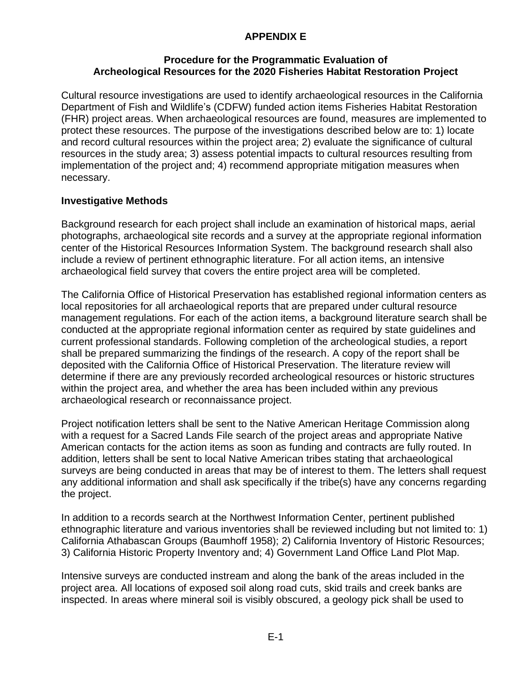## **APPENDIX E**

## **Procedure for the Programmatic Evaluation of Archeological Resources for the 2020 Fisheries Habitat Restoration Project**

Cultural resource investigations are used to identify archaeological resources in the California Department of Fish and Wildlife's (CDFW) funded action items Fisheries Habitat Restoration (FHR) project areas. When archaeological resources are found, measures are implemented to protect these resources. The purpose of the investigations described below are to: 1) locate and record cultural resources within the project area; 2) evaluate the significance of cultural resources in the study area; 3) assess potential impacts to cultural resources resulting from implementation of the project and; 4) recommend appropriate mitigation measures when necessary.

## **Investigative Methods**

Background research for each project shall include an examination of historical maps, aerial photographs, archaeological site records and a survey at the appropriate regional information center of the Historical Resources Information System. The background research shall also include a review of pertinent ethnographic literature. For all action items, an intensive archaeological field survey that covers the entire project area will be completed.

The California Office of Historical Preservation has established regional information centers as local repositories for all archaeological reports that are prepared under cultural resource management regulations. For each of the action items, a background literature search shall be conducted at the appropriate regional information center as required by state guidelines and current professional standards. Following completion of the archeological studies, a report shall be prepared summarizing the findings of the research. A copy of the report shall be deposited with the California Office of Historical Preservation. The literature review will determine if there are any previously recorded archeological resources or historic structures within the project area, and whether the area has been included within any previous archaeological research or reconnaissance project.

Project notification letters shall be sent to the Native American Heritage Commission along with a request for a Sacred Lands File search of the project areas and appropriate Native American contacts for the action items as soon as funding and contracts are fully routed. In addition, letters shall be sent to local Native American tribes stating that archaeological surveys are being conducted in areas that may be of interest to them. The letters shall request any additional information and shall ask specifically if the tribe(s) have any concerns regarding the project.

In addition to a records search at the Northwest Information Center, pertinent published ethnographic literature and various inventories shall be reviewed including but not limited to: 1) California Athabascan Groups (Baumhoff 1958); 2) California Inventory of Historic Resources; 3) California Historic Property Inventory and; 4) Government Land Office Land Plot Map.

Intensive surveys are conducted instream and along the bank of the areas included in the project area. All locations of exposed soil along road cuts, skid trails and creek banks are inspected. In areas where mineral soil is visibly obscured, a geology pick shall be used to